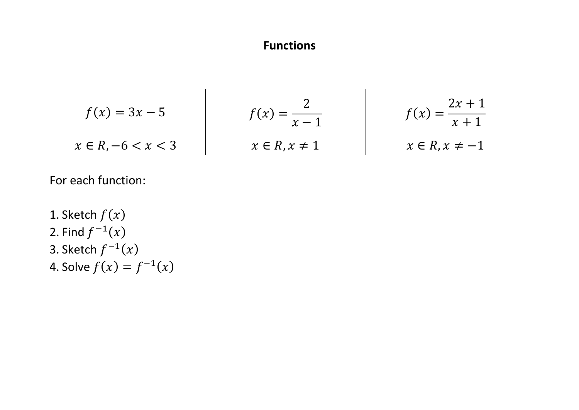## **Functions**

 $\overline{\phantom{a}}$ 

$$
f(x) = 3x - 5
$$
  
\n
$$
x \in R, -6 < x < 3
$$
\n
$$
f(x) = \frac{2}{x - 1}
$$
\n
$$
f(x) = \frac{2x + 1}{x + 1}
$$
\n
$$
f(x) = \frac{2x + 1}{x + 1}
$$
\n
$$
x \in R, x \neq -1
$$

 $\mathbf{I}$ 

For each function:

1. Sketch  $f(x)$ 2. Find  $f^{-1}(x)$ 3. Sketch  $f^{-1}(x)$ 4. Solve  $f(x) = f^{-1}(x)$